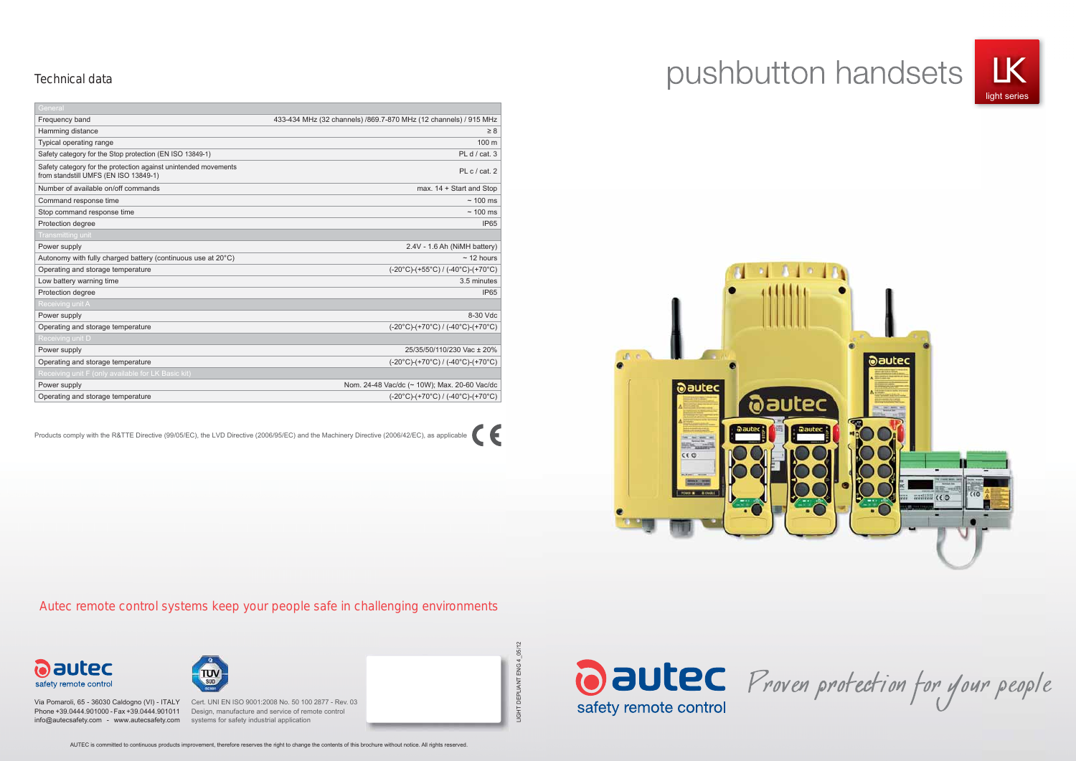

Oautec Proven protection for your people

DEPLIANT ENG 4\_05/12 LIGHT DEPLIANT ENG 4\_05/12



# pushbutton handsets



AUTEC is committed to continuous products improvement, therefore reserves the right to change the contents of this brochure without notice. All rights reserved.

Via Pomaroli, 65 - 36030 Caldogno (VI) - ITALY Cert. UNI EN ISO 9001:2008 No. 50 100 2877 - Rev. 03 info@autecsafety.com - www.autecsafety.com systems for safety industrial application

Phone +39.0444.901000 - Fax +39.0444.901011 Design, manufacture and service of remote control

Autec remote control systems keep your people safe in challenging environments



#### Technical data

| General                                                                                                  |                                                                             |
|----------------------------------------------------------------------------------------------------------|-----------------------------------------------------------------------------|
| Frequency band                                                                                           | 433-434 MHz (32 channels) /869.7-870 MHz (12 channels) / 915 MHz            |
| Hamming distance                                                                                         | $\geq 8$                                                                    |
| Typical operating range                                                                                  | 100 <sub>m</sub>                                                            |
| Safety category for the Stop protection (EN ISO 13849-1)                                                 | PL $d / cat.3$                                                              |
| Safety category for the protection against unintended movements<br>from standstill UMFS (EN ISO 13849-1) | PL $c / cat. 2$                                                             |
| Number of available on/off commands                                                                      | max. 14 + Start and Stop                                                    |
| Command response time                                                                                    | $~\sim$ 100 ms                                                              |
| Stop command response time                                                                               | $\sim$ 100 ms                                                               |
| Protection degree                                                                                        | <b>IP65</b>                                                                 |
| Transmitting unit                                                                                        |                                                                             |
| Power supply                                                                                             | 2.4V - 1.6 Ah (NiMH battery)                                                |
| Autonomy with fully charged battery (continuous use at $20^{\circ}$ C)                                   | $~12$ hours                                                                 |
| Operating and storage temperature                                                                        | $(-20^{\circ}C)$ -(+55 $^{\circ}C)$ / (-40 $^{\circ}C$ )-(+70 $^{\circ}C$ ) |
| Low battery warning time                                                                                 | 3.5 minutes                                                                 |
| Protection degree                                                                                        | <b>IP65</b>                                                                 |
| Receiving unit A                                                                                         |                                                                             |
| Power supply                                                                                             | 8-30 Vdc                                                                    |
| Operating and storage temperature                                                                        | $(-20^{\circ}C)-(+70^{\circ}C) / (-40^{\circ}C)-(+70^{\circ}C)$             |
| Receiving unit D                                                                                         |                                                                             |
| Power supply                                                                                             | 25/35/50/110/230 Vac ± 20%                                                  |
| Operating and storage temperature                                                                        | $(-20^{\circ}C)$ -(+70 $^{\circ}C)$ / (-40 $^{\circ}C$ )-(+70 $^{\circ}C$ ) |
| Receiving unit F (only available for LK Basic kit)                                                       |                                                                             |
| Power supply                                                                                             | Nom. 24-48 Vac/dc (~ 10W); Max. 20-60 Vac/dc                                |
| Operating and storage temperature                                                                        | $(-20^{\circ}C)$ -(+70 $^{\circ}C)$ / (-40 $^{\circ}C$ )-(+70 $^{\circ}C$ ) |

Products comply with the R&TTE Directive (99/05/EC), the LVD Directive (2006/95/EC) and the Machinery Directive (2006/42/EC), as applicable